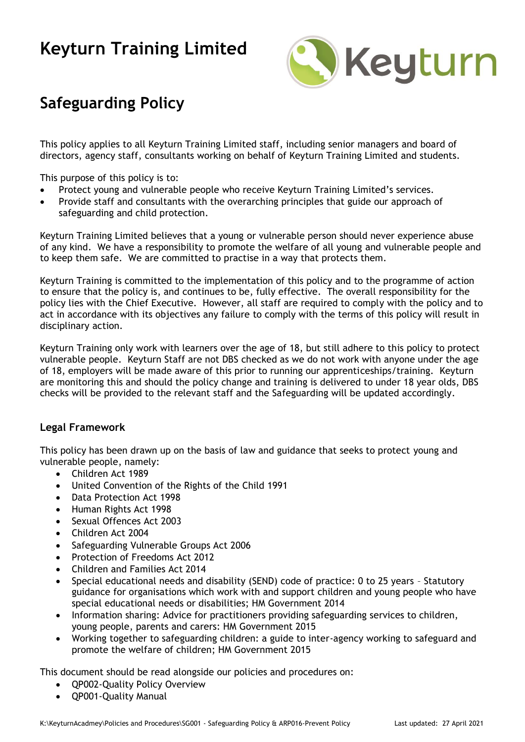

### **Safeguarding Policy**

This policy applies to all Keyturn Training Limited staff, including senior managers and board of directors, agency staff, consultants working on behalf of Keyturn Training Limited and students.

This purpose of this policy is to:

- Protect young and vulnerable people who receive Keyturn Training Limited's services.
- Provide staff and consultants with the overarching principles that guide our approach of safeguarding and child protection.

Keyturn Training Limited believes that a young or vulnerable person should never experience abuse of any kind. We have a responsibility to promote the welfare of all young and vulnerable people and to keep them safe. We are committed to practise in a way that protects them.

Keyturn Training is committed to the implementation of this policy and to the programme of action to ensure that the policy is, and continues to be, fully effective. The overall responsibility for the policy lies with the Chief Executive. However, all staff are required to comply with the policy and to act in accordance with its objectives any failure to comply with the terms of this policy will result in disciplinary action.

Keyturn Training only work with learners over the age of 18, but still adhere to this policy to protect vulnerable people. Keyturn Staff are not DBS checked as we do not work with anyone under the age of 18, employers will be made aware of this prior to running our apprenticeships/training. Keyturn are monitoring this and should the policy change and training is delivered to under 18 year olds, DBS checks will be provided to the relevant staff and the Safeguarding will be updated accordingly.

### **Legal Framework**

This policy has been drawn up on the basis of law and guidance that seeks to protect young and vulnerable people, namely:

- Children Act 1989
- United Convention of the Rights of the Child 1991
- Data Protection Act 1998
- Human Rights Act 1998
- Sexual Offences Act 2003
- Children Act 2004
- Safeguarding Vulnerable Groups Act 2006
- Protection of Freedoms Act 2012
- Children and Families Act 2014
- Special educational needs and disability (SEND) code of practice: 0 to 25 years Statutory guidance for organisations which work with and support children and young people who have special educational needs or disabilities; HM Government 2014
- Information sharing: Advice for practitioners providing safeguarding services to children, young people, parents and carers: HM Government 2015
- Working together to safeguarding children: a guide to inter-agency working to safeguard and promote the welfare of children; HM Government 2015

This document should be read alongside our policies and procedures on:

- QP002-Quality Policy Overview
- QP001-Quality Manual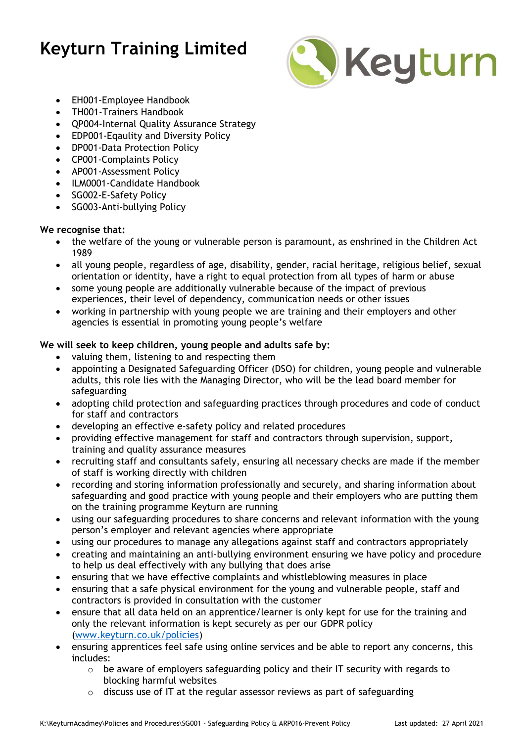

- EH001-Employee Handbook
- TH001-Trainers Handbook
- QP004-Internal Quality Assurance Strategy
- EDP001-Eqaulity and Diversity Policy
- DP001-Data Protection Policy
- CP001-Complaints Policy
- AP001-Assessment Policy
- ILM0001-Candidate Handbook
- SG002-E-Safety Policy
- SG003-Anti-bullying Policy

#### **We recognise that:**

- the welfare of the young or vulnerable person is paramount, as enshrined in the Children Act 1989
- all young people, regardless of age, disability, gender, racial heritage, religious belief, sexual orientation or identity, have a right to equal protection from all types of harm or abuse
- some young people are additionally vulnerable because of the impact of previous experiences, their level of dependency, communication needs or other issues
- working in partnership with young people we are training and their employers and other agencies is essential in promoting young people's welfare

#### **We will seek to keep children, young people and adults safe by:**

- valuing them, listening to and respecting them
- appointing a Designated Safeguarding Officer (DSO) for children, young people and vulnerable adults, this role lies with the Managing Director, who will be the lead board member for safeguarding
- adopting child protection and safeguarding practices through procedures and code of conduct for staff and contractors
- developing an effective e-safety policy and related procedures
- providing effective management for staff and contractors through supervision, support, training and quality assurance measures
- recruiting staff and consultants safely, ensuring all necessary checks are made if the member of staff is working directly with children
- recording and storing information professionally and securely, and sharing information about safeguarding and good practice with young people and their employers who are putting them on the training programme Keyturn are running
- using our safeguarding procedures to share concerns and relevant information with the young person's employer and relevant agencies where appropriate
- using our procedures to manage any allegations against staff and contractors appropriately
- creating and maintaining an anti-bullying environment ensuring we have policy and procedure to help us deal effectively with any bullying that does arise
- ensuring that we have effective complaints and whistleblowing measures in place
- ensuring that a safe physical environment for the young and vulnerable people, staff and contractors is provided in consultation with the customer
- ensure that all data held on an apprentice/learner is only kept for use for the training and only the relevant information is kept securely as per our GDPR policy [\(www.keyturn.co.uk/policies\)](http://www.keyturn.co.uk/policies)
- ensuring apprentices feel safe using online services and be able to report any concerns, this includes:
	- o be aware of employers safeguarding policy and their IT security with regards to blocking harmful websites
	- o discuss use of IT at the regular assessor reviews as part of safeguarding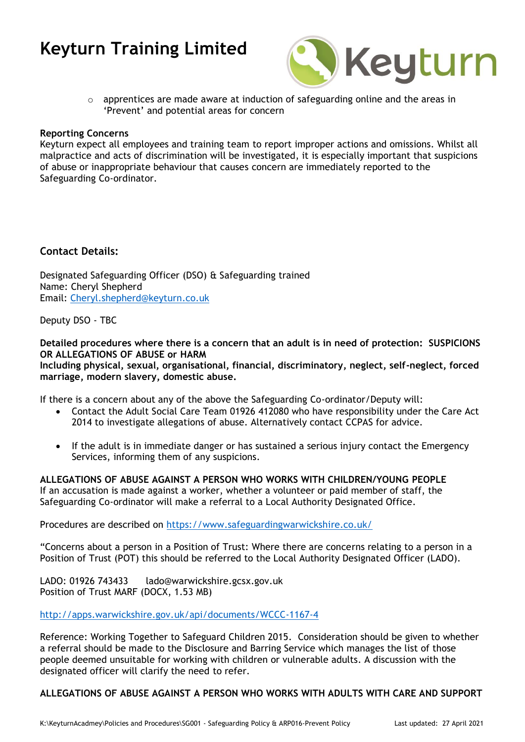

 $\circ$  apprentices are made aware at induction of safeguarding online and the areas in 'Prevent' and potential areas for concern

#### **Reporting Concerns**

Keyturn expect all employees and training team to report improper actions and omissions. Whilst all malpractice and acts of discrimination will be investigated, it is especially important that suspicions of abuse or inappropriate behaviour that causes concern are immediately reported to the Safeguarding Co-ordinator.

### **Contact Details:**

Designated Safeguarding Officer (DSO) & Safeguarding trained Name: Cheryl Shepherd Email: [Cheryl.shepherd@keyturn.co.uk](mailto:Cheryl.shepherd@keyturn.co.uk)

Deputy DSO - TBC

**Detailed procedures where there is a concern that an adult is in need of protection: SUSPICIONS OR ALLEGATIONS OF ABUSE or HARM**

**Including physical, sexual, organisational, financial, discriminatory, neglect, self-neglect, forced marriage, modern slavery, domestic abuse.**

If there is a concern about any of the above the Safeguarding Co-ordinator/Deputy will:

- Contact the Adult Social Care Team 01926 412080 who have responsibility under the Care Act 2014 to investigate allegations of abuse. Alternatively contact CCPAS for advice.
- If the adult is in immediate danger or has sustained a serious injury contact the Emergency Services, informing them of any suspicions.

**ALLEGATIONS OF ABUSE AGAINST A PERSON WHO WORKS WITH CHILDREN/YOUNG PEOPLE** If an accusation is made against a worker, whether a volunteer or paid member of staff, the Safeguarding Co-ordinator will make a referral to a Local Authority Designated Office.

Procedures are described on<https://www.safeguardingwarwickshire.co.uk/>

"Concerns about a person in a Position of Trust: Where there are concerns relating to a person in a Position of Trust (POT) this should be referred to the Local Authority Designated Officer (LADO).

LADO: 01926 743433 lado@warwickshire.gcsx.gov.uk Position of Trust MARF (DOCX, 1.53 MB)

<http://apps.warwickshire.gov.uk/api/documents/WCCC-1167-4>

Reference: Working Together to Safeguard Children 2015. Consideration should be given to whether a referral should be made to the Disclosure and Barring Service which manages the list of those people deemed unsuitable for working with children or vulnerable adults. A discussion with the designated officer will clarify the need to refer.

**ALLEGATIONS OF ABUSE AGAINST A PERSON WHO WORKS WITH ADULTS WITH CARE AND SUPPORT**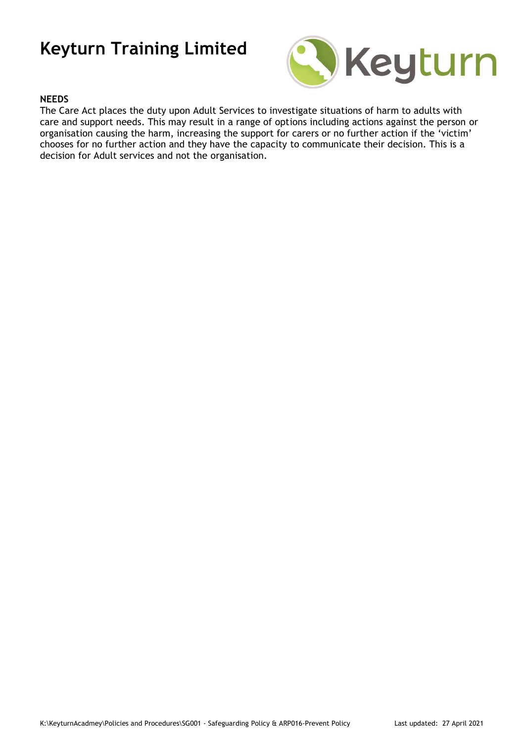

#### **NEEDS**

The Care Act places the duty upon Adult Services to investigate situations of harm to adults with care and support needs. This may result in a range of options including actions against the person or organisation causing the harm, increasing the support for carers or no further action if the 'victim' chooses for no further action and they have the capacity to communicate their decision. This is a decision for Adult services and not the organisation.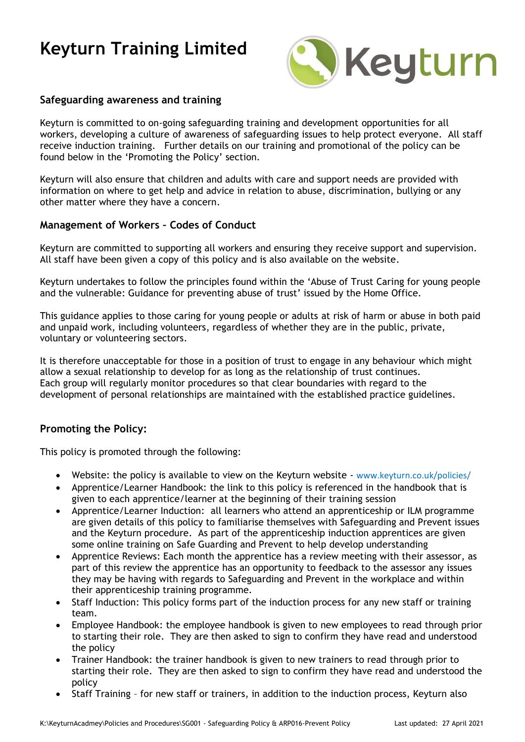

### **Safeguarding awareness and training**

Keyturn is committed to on-going safeguarding training and development opportunities for all workers, developing a culture of awareness of safeguarding issues to help protect everyone. All staff receive induction training. Further details on our training and promotional of the policy can be found below in the 'Promoting the Policy' section.

Keyturn will also ensure that children and adults with care and support needs are provided with information on where to get help and advice in relation to abuse, discrimination, bullying or any other matter where they have a concern.

### **Management of Workers – Codes of Conduct**

Keyturn are committed to supporting all workers and ensuring they receive support and supervision. All staff have been given a copy of this policy and is also available on the website.

Keyturn undertakes to follow the principles found within the 'Abuse of Trust Caring for young people and the vulnerable: Guidance for preventing abuse of trust' issued by the Home Office.

This guidance applies to those caring for young people or adults at risk of harm or abuse in both paid and unpaid work, including volunteers, regardless of whether they are in the public, private, voluntary or volunteering sectors.

It is therefore unacceptable for those in a position of trust to engage in any behaviour which might allow a sexual relationship to develop for as long as the relationship of trust continues. Each group will regularly monitor procedures so that clear boundaries with regard to the development of personal relationships are maintained with the established practice guidelines.

### **Promoting the Policy:**

This policy is promoted through the following:

- Website: the policy is available to view on the Keyturn website [www.keyturn.co.uk/policies/](http://www.keyturn.co.uk/policies/)
- Apprentice/Learner Handbook: the link to this policy is referenced in the handbook that is given to each apprentice/learner at the beginning of their training session
- Apprentice/Learner Induction: all learners who attend an apprenticeship or ILM programme are given details of this policy to familiarise themselves with Safeguarding and Prevent issues and the Keyturn procedure. As part of the apprenticeship induction apprentices are given some online training on Safe Guarding and Prevent to help develop understanding
- Apprentice Reviews: Each month the apprentice has a review meeting with their assessor, as part of this review the apprentice has an opportunity to feedback to the assessor any issues they may be having with regards to Safeguarding and Prevent in the workplace and within their apprenticeship training programme.
- Staff Induction: This policy forms part of the induction process for any new staff or training team.
- Employee Handbook: the employee handbook is given to new employees to read through prior to starting their role. They are then asked to sign to confirm they have read and understood the policy
- Trainer Handbook: the trainer handbook is given to new trainers to read through prior to starting their role. They are then asked to sign to confirm they have read and understood the policy
- Staff Training for new staff or trainers, in addition to the induction process, Keyturn also